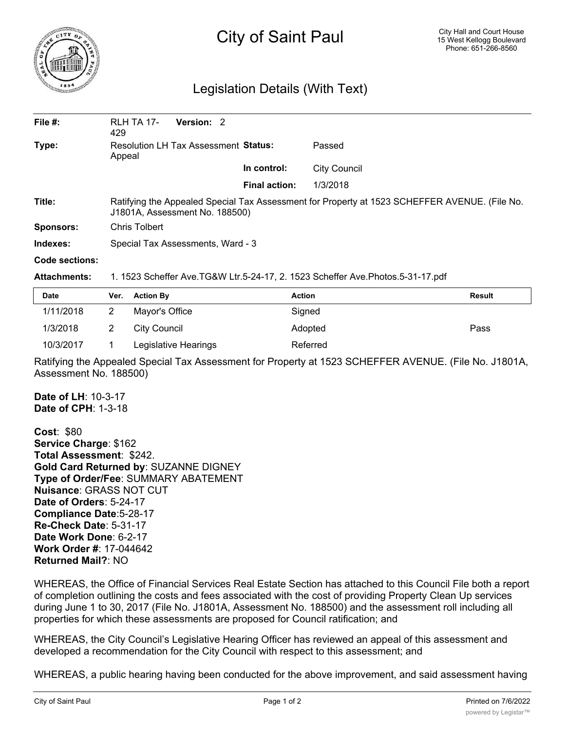

## City of Saint Paul

## Legislation Details (With Text)

| File $#$ :       | <b>RLH TA 17-</b><br>429                                                                                                        | <b>Version: 2</b> |                      |              |  |  |
|------------------|---------------------------------------------------------------------------------------------------------------------------------|-------------------|----------------------|--------------|--|--|
| Type:            | <b>Resolution LH Tax Assessment Status:</b><br>Appeal                                                                           |                   |                      | Passed       |  |  |
|                  |                                                                                                                                 |                   | In control:          | City Council |  |  |
|                  |                                                                                                                                 |                   | <b>Final action:</b> | 1/3/2018     |  |  |
| Title:           | Ratifying the Appealed Special Tax Assessment for Property at 1523 SCHEFFER AVENUE. (File No.<br>J1801A, Assessment No. 188500) |                   |                      |              |  |  |
| <b>Sponsors:</b> | Chris Tolbert                                                                                                                   |                   |                      |              |  |  |
| Indexes:         | Special Tax Assessments, Ward - 3                                                                                               |                   |                      |              |  |  |
| Code sections:   |                                                                                                                                 |                   |                      |              |  |  |

## **Attachments:** 1. 1523 Scheffer Ave.TG&W Ltr.5-24-17, 2. 1523 Scheffer Ave.Photos.5-31-17.pdf

| <b>Date</b> | Ver. Action By       | <b>Action</b> | <b>Result</b> |
|-------------|----------------------|---------------|---------------|
| 1/11/2018   | Mayor's Office       | Signed        |               |
| 1/3/2018    | City Council         | Adopted       | Pass          |
| 10/3/2017   | Legislative Hearings | Referred      |               |

Ratifying the Appealed Special Tax Assessment for Property at 1523 SCHEFFER AVENUE. (File No. J1801A, Assessment No. 188500)

**Date of LH**: 10-3-17 **Date of CPH**: 1-3-18

**Cost**: \$80 **Service Charge**: \$162 **Total Assessment**: \$242. **Gold Card Returned by**: SUZANNE DIGNEY **Type of Order/Fee**: SUMMARY ABATEMENT **Nuisance**: GRASS NOT CUT **Date of Orders**: 5-24-17 **Compliance Date**:5-28-17 **Re-Check Date**: 5-31-17 **Date Work Done**: 6-2-17 **Work Order #**: 17-044642 **Returned Mail?**: NO

WHEREAS, the Office of Financial Services Real Estate Section has attached to this Council File both a report of completion outlining the costs and fees associated with the cost of providing Property Clean Up services during June 1 to 30, 2017 (File No. J1801A, Assessment No. 188500) and the assessment roll including all properties for which these assessments are proposed for Council ratification; and

WHEREAS, the City Council's Legislative Hearing Officer has reviewed an appeal of this assessment and developed a recommendation for the City Council with respect to this assessment; and

WHEREAS, a public hearing having been conducted for the above improvement, and said assessment having